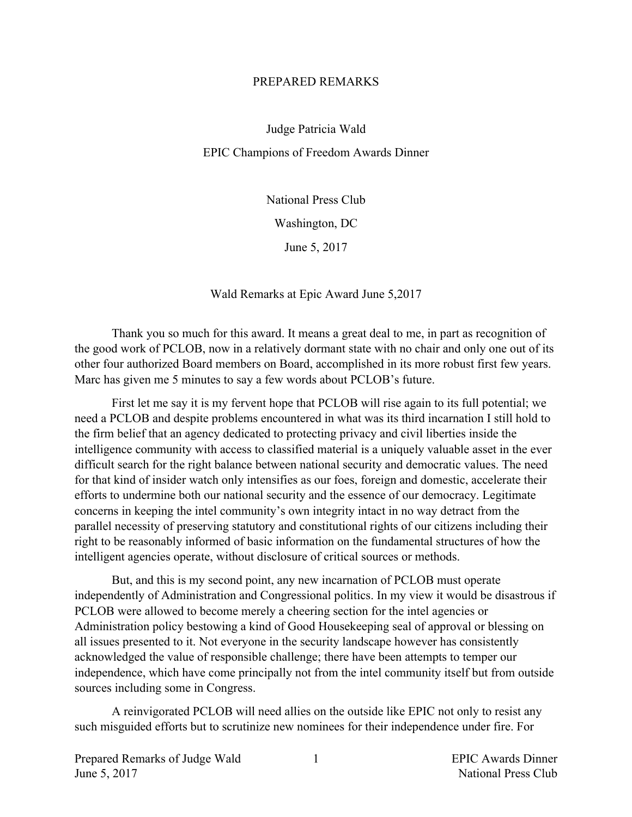## PREPARED REMARKS

Judge Patricia Wald EPIC Champions of Freedom Awards Dinner

> National Press Club Washington, DC June 5, 2017

Wald Remarks at Epic Award June 5,2017

Thank you so much for this award. It means a great deal to me, in part as recognition of the good work of PCLOB, now in a relatively dormant state with no chair and only one out of its other four authorized Board members on Board, accomplished in its more robust first few years. Marc has given me 5 minutes to say a few words about PCLOB's future.

First let me say it is my fervent hope that PCLOB will rise again to its full potential; we need a PCLOB and despite problems encountered in what was its third incarnation I still hold to the firm belief that an agency dedicated to protecting privacy and civil liberties inside the intelligence community with access to classified material is a uniquely valuable asset in the ever difficult search for the right balance between national security and democratic values. The need for that kind of insider watch only intensifies as our foes, foreign and domestic, accelerate their efforts to undermine both our national security and the essence of our democracy. Legitimate concerns in keeping the intel community's own integrity intact in no way detract from the parallel necessity of preserving statutory and constitutional rights of our citizens including their right to be reasonably informed of basic information on the fundamental structures of how the intelligent agencies operate, without disclosure of critical sources or methods.

But, and this is my second point, any new incarnation of PCLOB must operate independently of Administration and Congressional politics. In my view it would be disastrous if PCLOB were allowed to become merely a cheering section for the intel agencies or Administration policy bestowing a kind of Good Housekeeping seal of approval or blessing on all issues presented to it. Not everyone in the security landscape however has consistently acknowledged the value of responsible challenge; there have been attempts to temper our independence, which have come principally not from the intel community itself but from outside sources including some in Congress.

A reinvigorated PCLOB will need allies on the outside like EPIC not only to resist any such misguided efforts but to scrutinize new nominees for their independence under fire. For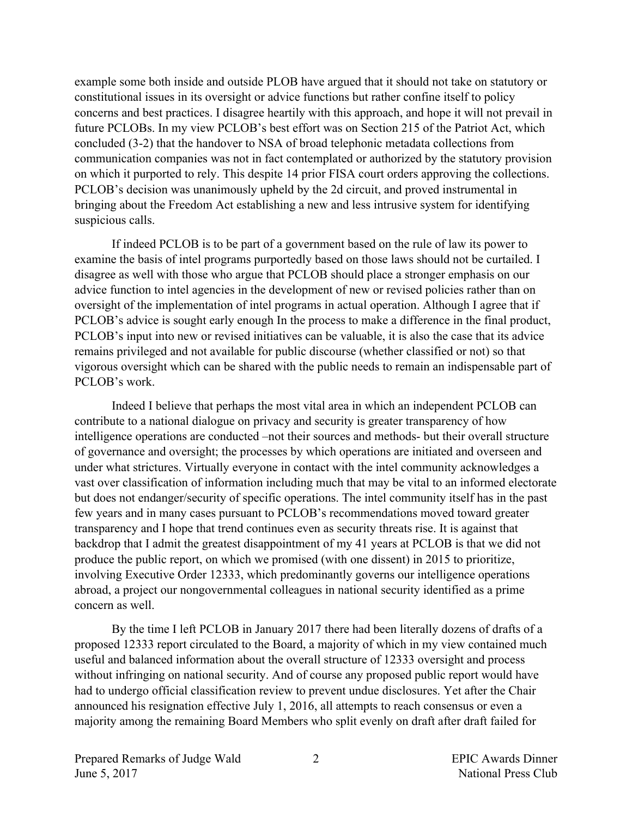example some both inside and outside PLOB have argued that it should not take on statutory or constitutional issues in its oversight or advice functions but rather confine itself to policy concerns and best practices. I disagree heartily with this approach, and hope it will not prevail in future PCLOBs. In my view PCLOB's best effort was on Section 215 of the Patriot Act, which concluded (3-2) that the handover to NSA of broad telephonic metadata collections from communication companies was not in fact contemplated or authorized by the statutory provision on which it purported to rely. This despite 14 prior FISA court orders approving the collections. PCLOB's decision was unanimously upheld by the 2d circuit, and proved instrumental in bringing about the Freedom Act establishing a new and less intrusive system for identifying suspicious calls.

If indeed PCLOB is to be part of a government based on the rule of law its power to examine the basis of intel programs purportedly based on those laws should not be curtailed. I disagree as well with those who argue that PCLOB should place a stronger emphasis on our advice function to intel agencies in the development of new or revised policies rather than on oversight of the implementation of intel programs in actual operation. Although I agree that if PCLOB's advice is sought early enough In the process to make a difference in the final product, PCLOB's input into new or revised initiatives can be valuable, it is also the case that its advice remains privileged and not available for public discourse (whether classified or not) so that vigorous oversight which can be shared with the public needs to remain an indispensable part of PCLOB's work.

Indeed I believe that perhaps the most vital area in which an independent PCLOB can contribute to a national dialogue on privacy and security is greater transparency of how intelligence operations are conducted –not their sources and methods- but their overall structure of governance and oversight; the processes by which operations are initiated and overseen and under what strictures. Virtually everyone in contact with the intel community acknowledges a vast over classification of information including much that may be vital to an informed electorate but does not endanger/security of specific operations. The intel community itself has in the past few years and in many cases pursuant to PCLOB's recommendations moved toward greater transparency and I hope that trend continues even as security threats rise. It is against that backdrop that I admit the greatest disappointment of my 41 years at PCLOB is that we did not produce the public report, on which we promised (with one dissent) in 2015 to prioritize, involving Executive Order 12333, which predominantly governs our intelligence operations abroad, a project our nongovernmental colleagues in national security identified as a prime concern as well.

By the time I left PCLOB in January 2017 there had been literally dozens of drafts of a proposed 12333 report circulated to the Board, a majority of which in my view contained much useful and balanced information about the overall structure of 12333 oversight and process without infringing on national security. And of course any proposed public report would have had to undergo official classification review to prevent undue disclosures. Yet after the Chair announced his resignation effective July 1, 2016, all attempts to reach consensus or even a majority among the remaining Board Members who split evenly on draft after draft failed for